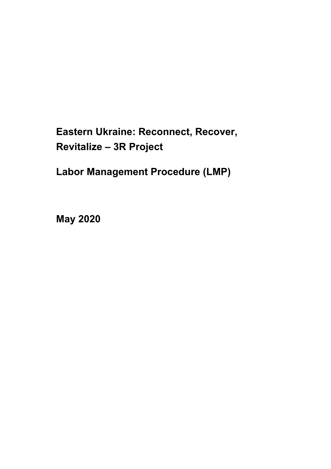# **Eastern Ukraine: Reconnect, Recover, Revitalize – 3R Project**

**Labor Management Procedure (LMP)**

**May 2020**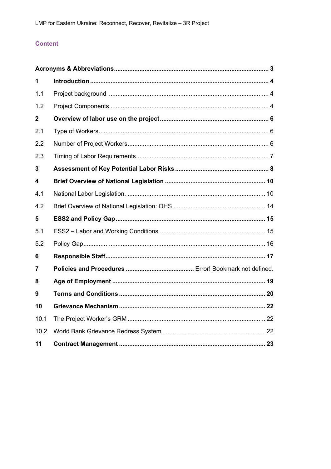# **Content**

| 1                       |  |  |
|-------------------------|--|--|
| 1.1                     |  |  |
| 1.2                     |  |  |
| $\mathbf{2}$            |  |  |
| 2.1                     |  |  |
| 2.2                     |  |  |
| 2.3                     |  |  |
| 3                       |  |  |
| $\overline{\mathbf{4}}$ |  |  |
| 4.1                     |  |  |
| 4.2                     |  |  |
| 5                       |  |  |
| 5.1                     |  |  |
| 5.2                     |  |  |
| 6                       |  |  |
| 7                       |  |  |
| 8                       |  |  |
| 9                       |  |  |
| 10                      |  |  |
| 10.1                    |  |  |
| 10.2                    |  |  |
| 11                      |  |  |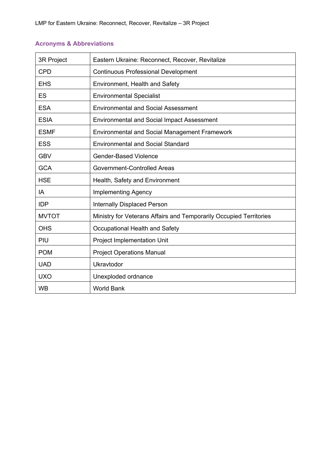|  | <b>Acronyms &amp; Abbreviations</b> |
|--|-------------------------------------|
|--|-------------------------------------|

| 3R Project   | Eastern Ukraine: Reconnect, Recover, Revitalize                    |
|--------------|--------------------------------------------------------------------|
| <b>CPD</b>   | <b>Continuous Professional Development</b>                         |
| <b>EHS</b>   | Environment, Health and Safety                                     |
| ES           | <b>Environmental Specialist</b>                                    |
| <b>ESA</b>   | <b>Environmental and Social Assessment</b>                         |
| <b>ESIA</b>  | <b>Environmental and Social Impact Assessment</b>                  |
| <b>ESMF</b>  | <b>Environmental and Social Management Framework</b>               |
| <b>ESS</b>   | <b>Environmental and Social Standard</b>                           |
| <b>GBV</b>   | <b>Gender-Based Violence</b>                                       |
| <b>GCA</b>   | Government-Controlled Areas                                        |
| <b>HSE</b>   | Health, Safety and Environment                                     |
| IA           | <b>Implementing Agency</b>                                         |
| <b>IDP</b>   | Internally Displaced Person                                        |
| <b>MVTOT</b> | Ministry for Veterans Affairs and Temporarily Occupied Territories |
| <b>OHS</b>   | Occupational Health and Safety                                     |
| PIU          | <b>Project Implementation Unit</b>                                 |
| <b>POM</b>   | <b>Project Operations Manual</b>                                   |
| <b>UAD</b>   | Ukravtodor                                                         |
| <b>UXO</b>   | Unexploded ordnance                                                |
| <b>WB</b>    | <b>World Bank</b>                                                  |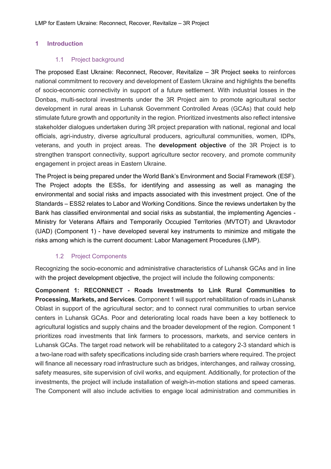#### **1 Introduction**

#### 1.1 Project background

The proposed East Ukraine: Reconnect, Recover, Revitalize – 3R Project seeks to reinforces national commitment to recovery and development of Eastern Ukraine and highlights the benefits of socio-economic connectivity in support of a future settlement. With industrial losses in the Donbas, multi-sectoral investments under the 3R Project aim to promote agricultural sector development in rural areas in Luhansk Government Controlled Areas (GCAs) that could help stimulate future growth and opportunity in the region. Prioritized investments also reflect intensive stakeholder dialogues undertaken during 3R project preparation with national, regional and local officials, agri-industry, diverse agricultural producers, agricultural communities, women, IDPs, veterans, and youth in project areas. The **development objective** of the 3R Project is to strengthen transport connectivity, support agriculture sector recovery, and promote community engagement in project areas in Eastern Ukraine.

The Project is being prepared under the World Bank's Environment and Social Framework (ESF). The Project adopts the ESSs, for identifying and assessing as well as managing the environmental and social risks and impacts associated with this investment project. One of the Standards – ESS2 relates to Labor and Working Conditions. Since the reviews undertaken by the Bank has classified environmental and social risks as substantial, the implementing Agencies - Ministry for Veterans Affairs and Temporarily Occupied Territories (MVTOT) and Ukravtodor (UAD) (Component 1) - have developed several key instruments to minimize and mitigate the risks among which is the current document: Labor Management Procedures (LMP).

## 1.2 Project Components

Recognizing the socio-economic and administrative characteristics of Luhansk GCAs and in line with the project development objective, the project will include the following components:

**Component 1: RECONNECT - Roads Investments to Link Rural Communities to Processing, Markets, and Services**. Component 1 will support rehabilitation of roads in Luhansk Oblast in support of the agricultural sector; and to connect rural communities to urban service centers in Luhansk GCAs. Poor and deteriorating local roads have been a key bottleneck to agricultural logistics and supply chains and the broader development of the region. Component 1 prioritizes road investments that link farmers to processors, markets, and service centers in Luhansk GCAs. The target road network will be rehabilitated to a category 2-3 standard which is a two-lane road with safety specifications including side crash barriers where required. The project will finance all necessary road infrastructure such as bridges, interchanges, and railway crossing, safety measures, site supervision of civil works, and equipment. Additionally, for protection of the investments, the project will include installation of weigh-in-motion stations and speed cameras. The Component will also include activities to engage local administration and communities in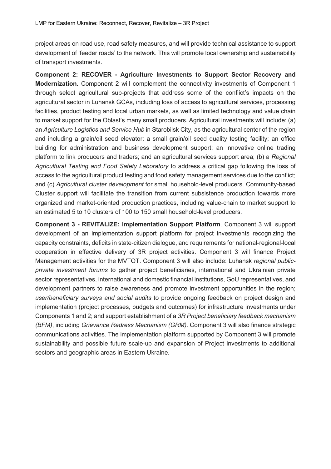project areas on road use, road safety measures, and will provide technical assistance to support development of 'feeder roads' to the network. This will promote local ownership and sustainability of transport investments.

**Component 2: RECOVER - Agriculture Investments to Support Sector Recovery and Modernization.** Component 2 will complement the connectivity investments of Component 1 through select agricultural sub-projects that address some of the conflict's impacts on the agricultural sector in Luhansk GCAs, including loss of access to agricultural services, processing facilities, product testing and local urban markets, as well as limited technology and value chain to market support for the Oblast's many small producers. Agricultural investments will include: (a) an *Agriculture Logistics and Service Hub* in Starobilsk City, as the agricultural center of the region and including a grain/oil seed elevator; a small grain/oil seed quality testing facility; an office building for administration and business development support; an innovative online trading platform to link producers and traders; and an agricultural services support area; (b) a *Regional Agricultural Testing and Food Safety Laboratory* to address a critical gap following the loss of access to the agricultural product testing and food safety management services due to the conflict; and (c) *Agricultural cluster development* for small household-level producers. Community-based Cluster support will facilitate the transition from current subsistence production towards more organized and market-oriented production practices, including value-chain to market support to an estimated 5 to 10 clusters of 100 to 150 small household-level producers.

**Component 3 - REVITALIZE: Implementation Support Platform**. Component 3 will support development of an implementation support platform for project investments recognizing the capacity constraints, deficits in state-citizen dialogue, and requirements for national-regional-local cooperation in effective delivery of 3R project activities. Component 3 will finance Project Management activities for the MVTOT. Component 3 will also include: Luhansk *regional publicprivate investment forums* to gather project beneficiaries, international and Ukrainian private sector representatives, international and domestic financial institutions, GoU representatives, and development partners to raise awareness and promote investment opportunities in the region; *user/beneficiary surveys and social audits* to provide ongoing feedback on project design and implementation (project processes, budgets and outcomes) for infrastructure investments under Components 1 and 2; and support establishment of a *3R Project beneficiary feedback mechanism (BFM)*, including *Grievance Redress Mechanism (GRM).* Component 3 will also finance strategic communications activities. The implementation platform supported by Component 3 will promote sustainability and possible future scale-up and expansion of Project investments to additional sectors and geographic areas in Eastern Ukraine.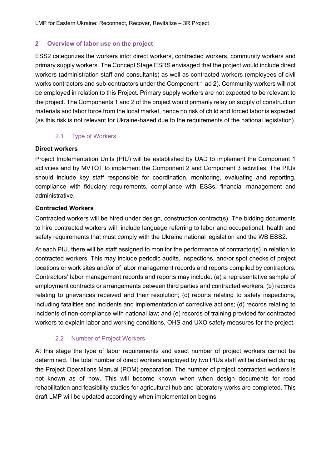## **2 Overview of labor use on the project**

ESS2 categorizes the workers into: direct workers, contracted workers, community workers and primary supply workers. The Concept Stage ESRS envisaged that the project would include direct workers (administration staff and consultants) as well as contracted workers (employees of civil works contractors and sub-contractors under the Component 1 ad 2). Community workers will not be employed in relation to this Project. Primary supply workers are not expected to be relevant to the project. The Components 1 and 2 of the project would primarily relay on supply of construction materials and labor force from the local market, hence no risk of child and forced labor is expected (as this risk is not relevant for Ukraine-based due to the requirements of the national legislation).

# 2.1 Type of Workers

#### **Direct workers**

Project Implementation Units (PIU) will be established by UAD to implement the Component 1 activities and by MVTOT to implement the Component 2 and Component 3 activities. The PIUs should include key staff responsible for coordination, monitoring, evaluating and reporting, compliance with fiduciary requirements, compliance with ESSs, financial management and administrative.

## **Contracted Workers**

Contracted workers will be hired under design, construction contract(s). The bidding documents to hire contracted workers will include language referring to labor and occupational, health and safety requirements that must comply with the Ukraine national legislation and the WB ESS2.

At each PIU, there will be staff assigned to monitor the performance of contractor(s) in relation to contracted workers. This may include periodic audits, inspections, and/or spot checks of project locations or work sites and/or of labor management records and reports compiled by contractors. Contractors' labor management records and reports may include: (a) a representative sample of employment contracts or arrangements between third parties and contracted workers; (b) records relating to grievances received and their resolution; (c) reports relating to safety inspections, including fatalities and incidents and implementation of corrective actions; (d) records relating to incidents of non-compliance with national law; and (e) records of training provided for contracted workers to explain labor and working conditions, OHS and UXO safety measures for the project.

## 2.2 Number of Project Workers

At this stage the type of labor requirements and exact number of project workers cannot be determined. The total number of direct workers employed by two PIUs staff will be clarified during the Project Operations Manual (POM) preparation. The number of project contracted workers is not known as of now. This will become known when when design documents for road rehabilitation and feasibility studies for agricultural hub and laboratory works are completed. This draft LMP will be updated accordingly when implementation begins.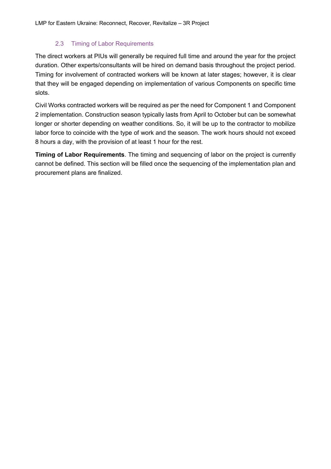## 2.3 Timing of Labor Requirements

The direct workers at PIUs will generally be required full time and around the year for the project duration. Other experts/consultants will be hired on demand basis throughout the project period. Timing for involvement of contracted workers will be known at later stages; however, it is clear that they will be engaged depending on implementation of various Components on specific time slots.

Civil Works contracted workers will be required as per the need for Component 1 and Component 2 implementation. Construction season typically lasts from April to October but can be somewhat longer or shorter depending on weather conditions. So, it will be up to the contractor to mobilize labor force to coincide with the type of work and the season. The work hours should not exceed 8 hours a day, with the provision of at least 1 hour for the rest.

**Timing of Labor Requirements**. The timing and sequencing of labor on the project is currently cannot be defined. This section will be filled once the sequencing of the implementation plan and procurement plans are finalized.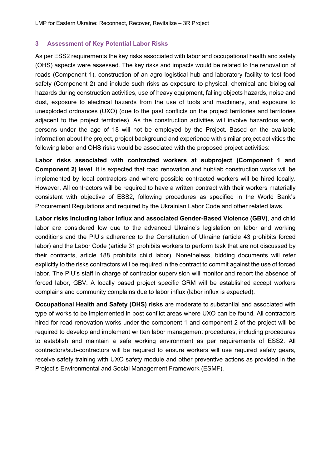#### **3 Assessment of Key Potential Labor Risks**

As per ESS2 requirements the key risks associated with labor and occupational health and safety (OHS) aspects were assessed. The key risks and impacts would be related to the renovation of roads (Component 1), construction of an agro-logistical hub and laboratory facility to test food safety (Component 2) and include such risks as exposure to physical, chemical and biological hazards during construction activities, use of heavy equipment, falling objects hazards, noise and dust, exposure to electrical hazards from the use of tools and machinery, and exposure to unexploded ordnances (UXO) (due to the past conflicts on the project territories and territories adjacent to the project territories). As the construction activities will involve hazardous work, persons under the age of 18 will not be employed by the Project. Based on the available information about the project, project background and experience with similar project activities the following labor and OHS risks would be associated with the proposed project activities:

**Labor risks associated with contracted workers at subproject (Component 1 and Component 2) level**. It is expected that road renovation and hub/lab construction works will be implemented by local contractors and where possible contracted workers will be hired locally. However, All contractors will be required to have a written contract with their workers materially consistent with objective of ESS2, following procedures as specified in the World Bank's Procurement Regulations and required by the Ukrainian Labor Code and other related laws.

**Labor risks including labor influx and associated Gender-Based Violence (GBV)**, and child labor are considered low due to the advanced Ukraine's legislation on labor and working conditions and the PIU's adherence to the Constitution of Ukraine (article 43 prohibits forced labor) and the Labor Code (article 31 prohibits workers to perform task that are not discussed by their contracts, article 188 prohibits child labor). Nonetheless, bidding documents will refer explicitly to the risks contractors will be required in the contract to commit against the use of forced labor. The PIU's staff in charge of contractor supervision will monitor and report the absence of forced labor, GBV. A locally based project specific GRM will be established accept workers complains and community complains due to labor influx (labor influx is expected).

**Occupational Health and Safety (OHS) risks** are moderate to substantial and associated with type of works to be implemented in post conflict areas where UXO can be found. All contractors hired for road renovation works under the component 1 and component 2 of the project will be required to develop and implement written labor management procedures, including procedures to establish and maintain a safe working environment as per requirements of ESS2. All contractors/sub-contractors will be required to ensure workers will use required safety gears, receive safety training with UXO safety module and other preventive actions as provided in the Project's Environmental and Social Management Framework (ESMF).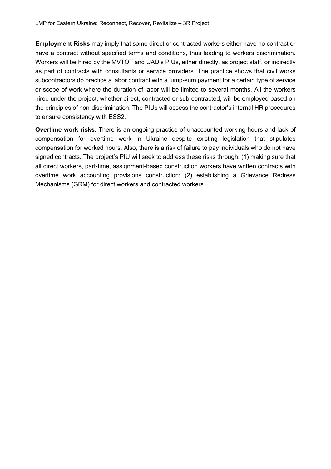**Employment Risks** may imply that some direct or contracted workers either have no contract or have a contract without specified terms and conditions, thus leading to workers discrimination. Workers will be hired by the MVTOT and UAD's PIUs, either directly, as project staff, or indirectly as part of contracts with consultants or service providers. The practice shows that civil works subcontractors do practice a labor contract with a lump-sum payment for a certain type of service or scope of work where the duration of labor will be limited to several months. All the workers hired under the project, whether direct, contracted or sub-contracted, will be employed based on the principles of non-discrimination. The PIUs will assess the contractor's internal HR procedures to ensure consistency with ESS2.

**Overtime work risks**. There is an ongoing practice of unaccounted working hours and lack of compensation for overtime work in Ukraine despite existing legislation that stipulates compensation for worked hours. Also, there is a risk of failure to pay individuals who do not have signed contracts. The project's PIU will seek to address these risks through: (1) making sure that all direct workers, part-time, assignment-based construction workers have written contracts with overtime work accounting provisions construction; (2) establishing a Grievance Redress Mechanisms (GRM) for direct workers and contracted workers.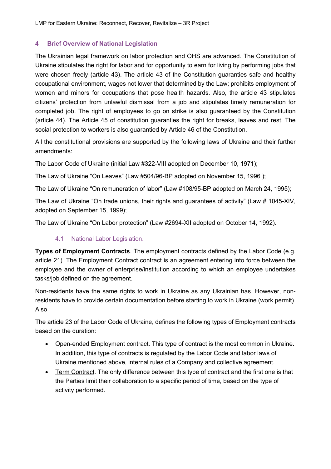## **4 Brief Overview of National Legislation**

The Ukrainian legal framework on labor protection and OHS are advanced. The Constitution of Ukraine stipulates the right for labor and for opportunity to earn for living by performing jobs that were chosen freely (article 43). The article 43 of the Constitution guaranties safe and healthy occupational environment, wages not lower that determined by the Law; prohibits employment of women and minors for occupations that pose health hazards. Also, the article 43 stipulates citizens' protection from unlawful dismissal from a job and stipulates timely remuneration for completed job. The right of employees to go on strike is also guaranteed by the Constitution (article 44). The Article 45 of constitution guaranties the right for breaks, leaves and rest. The social protection to workers is also guarantied by Article 46 of the Constitution.

All the constitutional provisions are supported by the following laws of Ukraine and their further amendments:

The Labor Code of Ukraine (initial Law #322-VIII adopted on December 10, 1971);

The Law of Ukraine "On Leaves" (Law #504/96-BP adopted on November 15, 1996 );

The Law of Ukraine "On remuneration of labor" (Law #108/95-BP adopted on March 24, 1995);

The Law of Ukraine "On trade unions, their rights and guarantees of activity" (Law # 1045-XIV, adopted on September 15, 1999);

The Law of Ukraine "On Labor protection" (Law #2694-XII adopted on October 14, 1992).

# 4.1 National Labor Legislation.

**Types of Employment Contracts**. The employment contracts defined by the Labor Code (e.g. article 21). The Employment Contract contract is an agreement entering into force between the employee and the owner of enterprise/institution according to which an employee undertakes tasks/job defined on the agreement.

Non-residents have the same rights to work in Ukraine as any Ukrainian has. However, nonresidents have to provide certain documentation before starting to work in Ukraine (work permit). Also

The article 23 of the Labor Code of Ukraine, defines the following types of Employment contracts based on the duration:

- Open-ended Employment contract. This type of contract is the most common in Ukraine. In addition, this type of contracts is regulated by the Labor Code and labor laws of Ukraine mentioned above, internal rules of a Company and collective agreement.
- Term Contract. The only difference between this type of contract and the first one is that the Parties limit their collaboration to a specific period of time, based on the type of activity performed.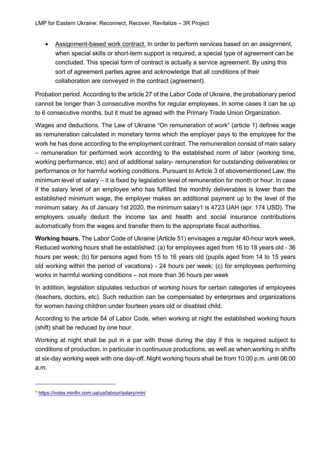• Assignment-based work contract. In order to perform services based on an assignment, when special skills or short-term support is required, a special type of agreement can be concluded. This special form of contract is actually a service agreement. By using this sort of agreement parties agree and acknowledge that all conditions of their collaboration are conveyed in the contract (agreement).

Probation period. According to the article 27 of the Labor Code of Ukraine, the probationary period cannot be longer than 3 consecutive months for regular employees. In some cases it can be up to 6 consecutive months, but it must be agreed with the Primary Trade Union Organization.

Wages and deductions. The Law of Ukraine "On remuneration of work" (article 1) defines wage as remuneration calculated in monetary terms which the employer pays to the employee for the work he has done according to the employment contract. The remuneration consist of main salary – remuneration for performed work according to the established norm of labor (working time, working performance, etc) and of additional salary- remuneration for outstanding deliverables or performance or for harmful working conditions. Pursuant to Article 3 of abovementioned Law, the minimum level of salary – it is fixed by legislation level of remuneration for month or hour. In case if the salary level of an employee who has fulfilled the monthly deliverables is lower than the established minimum wage, the employer makes an additional payment up to the level of the minimum salary. As of January 1st 2020, the minimum salary1 is 4723 UAH (apr. 174 USD). The employers usually deduct the income tax and health and social insurance contributions automatically from the wages and transfer them to the appropriate fiscal authorities.

**Working hours.** The Labor Code of Ukraine (Article 51) envisages a regular 40-hour work week. Reduced working hours shall be established: (a) for employees aged from 16 to 18 years old - 36 hours per week; (b) for persons aged from 15 to 16 years old (pupils aged from 14 to 15 years old working within the period of vacations) - 24 hours per week; (c) for employees performing works in harmful working conditions – not more than 36 hours per week

In addition, legislation stipulates reduction of working hours for certain categories of employees (teachers, doctors, etc). Such reduction can be compensated by enterprises and organizations for women having children under fourteen years old or disabled child.

According to the article 54 of Labor Code, when working at night the established working hours (shift) shall be reduced by one hour.

Working at night shall be put in a par with those during the day if this is required subject to conditions of production, in particular in continuous productions, as well as when working in shifts at six-day working week with one day-off. Night working hours shall be from 10:00 p.m. until 06:00 a.m.

<sup>1</sup> https://index.minfin.com.ua/ua/labour/salary/min/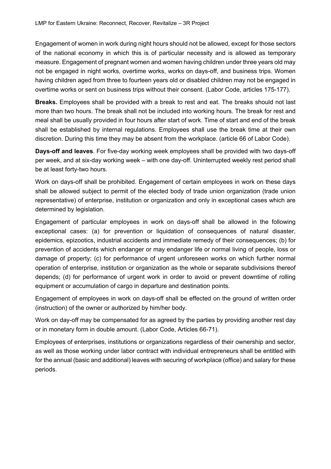Engagement of women in work during night hours should not be allowed, except for those sectors of the national economy in which this is of particular necessity and is allowed as temporary measure. Engagement of pregnant women and women having children under three years old may not be engaged in night works, overtime works, works on days-off, and business trips. Women having children aged from three to fourteen years old or disabled children may not be engaged in overtime works or sent on business trips without their consent. (Labor Code, articles 175-177).

**Breaks.** Employees shall be provided with a break to rest and eat. The breaks should not last more than two hours. The break shall not be included into working hours. The break for rest and meal shall be usually provided in four hours after start of work. Time of start and end of the break shall be established by internal regulations. Employees shall use the break time at their own discretion. During this time they may be absent from the workplace. (article 66 of Labor Code).

**Days-off and leaves**. For five-day working week employees shall be provided with two days-off per week, and at six-day working week – with one day-off. Uninterrupted weekly rest period shall be at least forty-two hours.

Work on days-off shall be prohibited. Engagement of certain employees in work on these days shall be allowed subject to permit of the elected body of trade union organization (trade union representative) of enterprise, institution or organization and only in exceptional cases which are determined by legislation.

Engagement of particular employees in work on days-off shall be allowed in the following exceptional cases: (a) for prevention or liquidation of consequences of natural disaster, epidemics, epizootics, industrial accidents and immediate remedy of their consequences; (b) for prevention of accidents which endanger or may endanger life or normal living of people, loss or damage of property; (c) for performance of urgent unforeseen works on which further normal operation of enterprise, institution or organization as the whole or separate subdivisions thereof depends; (d) for performance of urgent work in order to avoid or prevent downtime of rolling equipment or accumulation of cargo in departure and destination points.

Engagement of employees in work on days-off shall be effected on the ground of written order (instruction) of the owner or authorized by him/her body.

Work on day-off may be compensated for as agreed by the parties by providing another rest day or in monetary form in double amount. (Labor Code, Articles 66-71).

Employees of enterprises, institutions or organizations regardless of their ownership and sector, as well as those working under labor contract with individual entrepreneurs shall be entitled with for the annual (basic and additional) leaves with securing of workplace (office) and salary for these periods.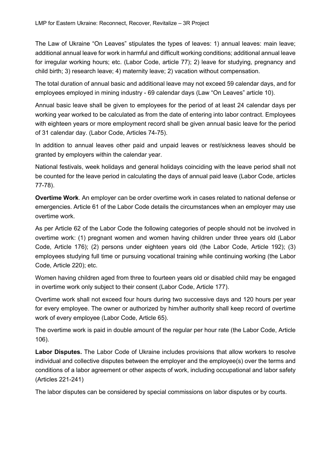The Law of Ukraine "On Leaves" stipulates the types of leaves: 1) annual leaves: main leave; additional annual leave for work in harmful and difficult working conditions; additional annual leave for irregular working hours; etc. (Labor Code, article 77); 2) leave for studying, pregnancy and child birth; 3) research leave; 4) maternity leave; 2) vacation without compensation.

The total duration of annual basic and additional leave may not exceed 59 calendar days, and for employees employed in mining industry - 69 calendar days (Law "On Leaves" article 10).

Annual basic leave shall be given to employees for the period of at least 24 calendar days per working year worked to be calculated as from the date of entering into labor contract. Employees with eighteen years or more employment record shall be given annual basic leave for the period of 31 calendar day. (Labor Code, Articles 74-75).

In addition to annual leaves other paid and unpaid leaves or rest/sickness leaves should be granted by employers within the calendar year.

National festivals, week holidays and general holidays coinciding with the leave period shall not be counted for the leave period in calculating the days of annual paid leave (Labor Code, articles 77-78).

**Overtime Work**. An employer can be order overtime work in cases related to national defense or emergencies. Article 61 of the Labor Code details the circumstances when an employer may use overtime work.

As per Article 62 of the Labor Code the following categories of people should not be involved in overtime work: (1) pregnant women and women having children under three years old (Labor Code, Article 176); (2) persons under eighteen years old (the Labor Code, Article 192); (3) employees studying full time or pursuing vocational training while continuing working (the Labor Code, Article 220); etc.

Women having children aged from three to fourteen years old or disabled child may be engaged in overtime work only subject to their consent (Labor Code, Article 177).

Overtime work shall not exceed four hours during two successive days and 120 hours per year for every employee. The owner or authorized by him/her authority shall keep record of overtime work of every employee (Labor Code, Article 65).

The overtime work is paid in double amount of the regular per hour rate (the Labor Code, Article 106).

**Labor Disputes.** The Labor Code of Ukraine includes provisions that allow workers to resolve individual and collective disputes between the employer and the employee(s) over the terms and conditions of a labor agreement or other aspects of work, including occupational and labor safety (Articles 221-241)

The labor disputes can be considered by special commissions on labor disputes or by courts.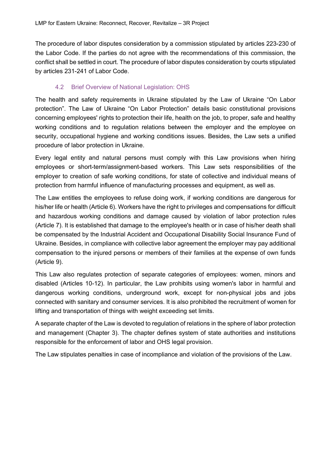The procedure of labor disputes consideration by a commission stipulated by articles 223-230 of the Labor Code. If the parties do not agree with the recommendations of this commission, the conflict shall be settled in court. The procedure of labor disputes consideration by courts stipulated by articles 231-241 of Labor Code.

## 4.2 Brief Overview of National Legislation: OHS

The health and safety requirements in Ukraine stipulated by the Law of Ukraine "On Labor protection". The Law of Ukraine "On Labor Protection" details basic constitutional provisions concerning employees' rights to protection their life, health on the job, to proper, safe and healthy working conditions and to regulation relations between the employer and the employee on security, occupational hygiene and working conditions issues. Besides, the Law sets a unified procedure of labor protection in Ukraine.

Every legal entity and natural persons must comply with this Law provisions when hiring employees or short-term/assignment-based workers. This Law sets responsibilities of the employer to creation of safe working conditions, for state of collective and individual means of protection from harmful influence of manufacturing processes and equipment, as well as.

The Law entitles the employees to refuse doing work, if working conditions are dangerous for his/her life or health (Article 6). Workers have the right to privileges and compensations for difficult and hazardous working conditions and damage caused by violation of labor protection rules (Article 7). It is established that damage to the employee's health or in case of his/her death shall be compensated by the Industrial Accident and Occupational Disability Social Insurance Fund of Ukraine. Besides, in compliance with collective labor agreement the employer may pay additional compensation to the injured persons or members of their families at the expense of own funds (Article 9).

This Law also regulates protection of separate categories of employees: women, minors and disabled (Articles 10-12). In particular, the Law prohibits using women's labor in harmful and dangerous working conditions, underground work, except for non-physical jobs and jobs connected with sanitary and consumer services. It is also prohibited the recruitment of women for lifting and transportation of things with weight exceeding set limits.

A separate chapter of the Law is devoted to regulation of relations in the sphere of labor protection and management (Chapter 3). The chapter defines system of state authorities and institutions responsible for the enforcement of labor and OHS legal provision.

The Law stipulates penalties in case of incompliance and violation of the provisions of the Law.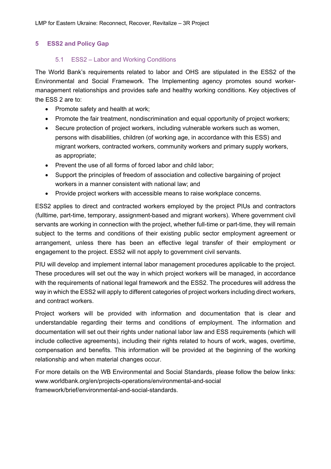# **5 ESS2 and Policy Gap**

## 5.1 ESS2 – Labor and Working Conditions

The World Bank's requirements related to labor and OHS are stipulated in the ESS2 of the Environmental and Social Framework. The Implementing agency promotes sound workermanagement relationships and provides safe and healthy working conditions. Key objectives of the ESS 2 are to:

- Promote safety and health at work;
- Promote the fair treatment, nondiscrimination and equal opportunity of project workers;
- Secure protection of project workers, including vulnerable workers such as women, persons with disabilities, children (of working age, in accordance with this ESS) and migrant workers, contracted workers, community workers and primary supply workers, as appropriate;
- Prevent the use of all forms of forced labor and child labor;
- Support the principles of freedom of association and collective bargaining of project workers in a manner consistent with national law; and
- Provide project workers with accessible means to raise workplace concerns.

ESS2 applies to direct and contracted workers employed by the project PIUs and contractors (fulltime, part-time, temporary, assignment-based and migrant workers). Where government civil servants are working in connection with the project, whether full-time or part-time, they will remain subject to the terms and conditions of their existing public sector employment agreement or arrangement, unless there has been an effective legal transfer of their employment or engagement to the project. ESS2 will not apply to government civil servants.

PIU will develop and implement internal labor management procedures applicable to the project. These procedures will set out the way in which project workers will be managed, in accordance with the requirements of national legal framework and the ESS2. The procedures will address the way in which the ESS2 will apply to different categories of project workers including direct workers, and contract workers.

Project workers will be provided with information and documentation that is clear and understandable regarding their terms and conditions of employment. The information and documentation will set out their rights under national labor law and ESS requirements (which will include collective agreements), including their rights related to hours of work, wages, overtime, compensation and benefits. This information will be provided at the beginning of the working relationship and when material changes occur.

For more details on the WB Environmental and Social Standards, please follow the below links: www.worldbank.org/en/projects-operations/environmental-and-social framework/brief/environmental-and-social-standards.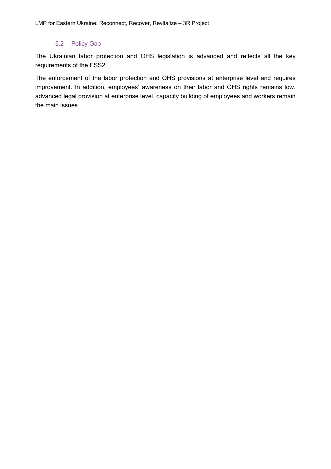# 5.2 Policy Gap

The Ukrainian labor protection and OHS legislation is advanced and reflects all the key requirements of the ESS2.

The enforcement of the labor protection and OHS provisions at enterprise level and requires improvement. In addition, employees' awareness on their labor and OHS rights remains low. advanced legal provision at enterprise level, capacity building of employees and workers remain the main issues.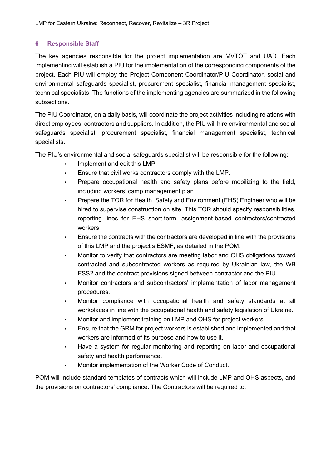# **6 Responsible Staff**

The key agencies responsible for the project implementation are MVTOT and UAD. Each implementing will establish a PIU for the implementation of the corresponding components of the project. Each PIU will employ the Project Component Coordinator/PIU Coordinator, social and environmental safeguards specialist, procurement specialist, financial management specialist, technical specialists. The functions of the implementing agencies are summarized in the following subsections.

The PIU Coordinator, on a daily basis, will coordinate the project activities including relations with direct employees, contractors and suppliers. In addition, the PIU will hire environmental and social safeguards specialist, procurement specialist, financial management specialist, technical specialists.

The PIU's environmental and social safeguards specialist will be responsible for the following:

- Implement and edit this LMP.
- Ensure that civil works contractors comply with the LMP.
- Prepare occupational health and safety plans before mobilizing to the field, including workers' camp management plan.
- Prepare the TOR for Health, Safety and Environment (EHS) Engineer who will be hired to supervise construction on site. This TOR should specify responsibilities, reporting lines for EHS short-term, assignment-based contractors/contracted workers.
- Ensure the contracts with the contractors are developed in line with the provisions of this LMP and the project's ESMF, as detailed in the POM.
- Monitor to verify that contractors are meeting labor and OHS obligations toward contracted and subcontracted workers as required by Ukrainian law, the WB ESS2 and the contract provisions signed between contractor and the PIU.
- Monitor contractors and subcontractors' implementation of labor management procedures.
- Monitor compliance with occupational health and safety standards at all workplaces in line with the occupational health and safety legislation of Ukraine.
- Monitor and implement training on LMP and OHS for project workers.
- Ensure that the GRM for project workers is established and implemented and that workers are informed of its purpose and how to use it.
- Have a system for regular monitoring and reporting on labor and occupational safety and health performance.
- Monitor implementation of the Worker Code of Conduct.

POM will include standard templates of contracts which will include LMP and OHS aspects, and the provisions on contractors' compliance. The Contractors will be required to: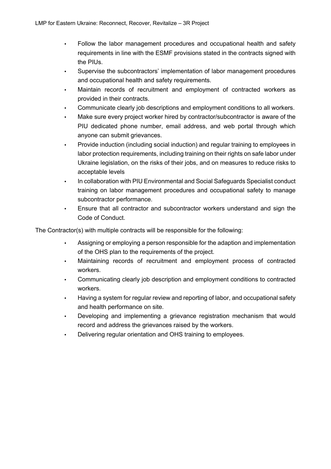- Follow the labor management procedures and occupational health and safety requirements in line with the ESMF provisions stated in the contracts signed with the PIUs.
- Supervise the subcontractors' implementation of labor management procedures and occupational health and safety requirements.
- Maintain records of recruitment and employment of contracted workers as provided in their contracts.
- Communicate clearly job descriptions and employment conditions to all workers.
- Make sure every project worker hired by contractor/subcontractor is aware of the PIU dedicated phone number, email address, and web portal through which anyone can submit grievances.
- Provide induction (including social induction) and regular training to employees in labor protection requirements, including training on their rights on safe labor under Ukraine legislation, on the risks of their jobs, and on measures to reduce risks to acceptable levels
- In collaboration with PIU Environmental and Social Safeguards Specialist conduct training on labor management procedures and occupational safety to manage subcontractor performance.
- Ensure that all contractor and subcontractor workers understand and sign the Code of Conduct.

The Contractor(s) with multiple contracts will be responsible for the following:

- Assigning or employing a person responsible for the adaption and implementation of the OHS plan to the requirements of the project.
- Maintaining records of recruitment and employment process of contracted workers.
- Communicating clearly job description and employment conditions to contracted workers.
- Having a system for regular review and reporting of labor, and occupational safety and health performance on site.
- Developing and implementing a grievance registration mechanism that would record and address the grievances raised by the workers.
- Delivering regular orientation and OHS training to employees.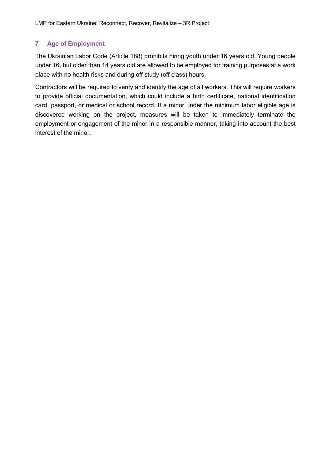# **7 Age of Employment**

The Ukrainian Labor Code (Article 188) prohibits hiring youth under 16 years old. Young people under 16, but older than 14 years old are allowed to be employed for training purposes at a work place with no health risks and during off study (off class) hours.

Contractors will be required to verify and identify the age of all workers. This will require workers to provide official documentation, which could include a birth certificate, national identification card, passport, or medical or school record. If a minor under the minimum labor eligible age is discovered working on the project, measures will be taken to immediately terminate the employment or engagement of the minor in a responsible manner, taking into account the best interest of the minor.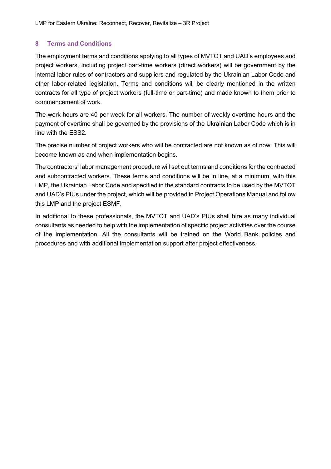# **8 Terms and Conditions**

The employment terms and conditions applying to all types of MVTOT and UAD's employees and project workers, including project part-time workers (direct workers) will be government by the internal labor rules of contractors and suppliers and regulated by the Ukrainian Labor Code and other labor-related legislation. Terms and conditions will be clearly mentioned in the written contracts for all type of project workers (full-time or part-time) and made known to them prior to commencement of work.

The work hours are 40 per week for all workers. The number of weekly overtime hours and the payment of overtime shall be governed by the provisions of the Ukrainian Labor Code which is in line with the ESS2.

The precise number of project workers who will be contracted are not known as of now. This will become known as and when implementation begins.

The contractors' labor management procedure will set out terms and conditions for the contracted and subcontracted workers. These terms and conditions will be in line, at a minimum, with this LMP, the Ukrainian Labor Code and specified in the standard contracts to be used by the MVTOT and UAD's PIUs under the project, which will be provided in Project Operations Manual and follow this LMP and the project ESMF.

In additional to these professionals, the MVTOT and UAD's PIUs shall hire as many individual consultants as needed to help with the implementation of specific project activities over the course of the implementation. All the consultants will be trained on the World Bank policies and procedures and with additional implementation support after project effectiveness.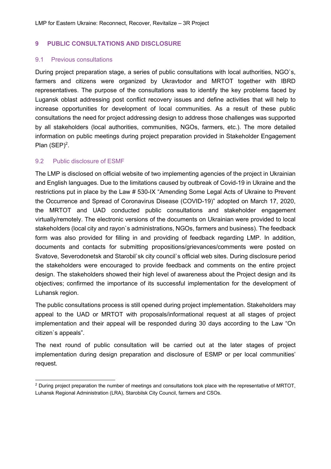## **9 PUBLIC CONSULTATIONS AND DISCLOSURE**

#### 9.1 Previous consultations

During project preparation stage, a series of public consultations with local authorities, NGO`s, farmers and citizens were organized by Ukravtodor and MRTOT together with IBRD representatives. The purpose of the consultations was to identify the key problems faced by Lugansk oblast addressing post conflict recovery issues and define activities that will help to increase opportunities for development of local communities. As a result of these public consultations the need for project addressing design to address those challenges was supported by all stakeholders (local authorities, communities, NGOs, farmers, etc.). The more detailed information on public meetings during project preparation provided in Stakeholder Engagement Plan  $(SEP)^2$ .

## 9.2 Public disclosure of ESMF

The LMP is disclosed on official website of two implementing agencies of the project in Ukrainian and English languages. Due to the limitations caused by outbreak of Covid-19 in Ukraine and the restrictions put in place by the Law # 530-IX "Amending Some Legal Acts of Ukraine to Prevent the Occurrence and Spread of Coronavirus Disease (COVID-19)" adopted on March 17, 2020, the MRTOT and UAD conducted public consultations and stakeholder engagement virtually/remotely. The electronic versions of the documents on Ukrainian were provided to local stakeholders (local city and rayon`s administrations, NGOs, farmers and business). The feedback form was also provided for filling in and providing of feedback regarding LMP. In addition, documents and contacts for submitting propositions/grievances/comments were posted on Svatove, Severodonetsk and Starobil`sk city council`s official web sites. During disclosure period the stakeholders were encouraged to provide feedback and comments on the entire project design. The stakeholders showed their high level of awareness about the Project design and its objectives; confirmed the importance of its successful implementation for the development of Luhansk region.

The public consultations process is still opened during project implementation. Stakeholders may appeal to the UAD or MRTOT with proposals/informational request at all stages of project implementation and their appeal will be responded during 30 days according to the Law "On citizen`s appeals".

The next round of public consultation will be carried out at the later stages of project implementation during design preparation and disclosure of ESMP or per local communities' request.

<sup>&</sup>lt;sup>2</sup> During project preparation the number of meetings and consultations took place with the representative of MRTOT, Luhansk Regional Administration (LRA), Starobilsk City Council, farmers and CSOs.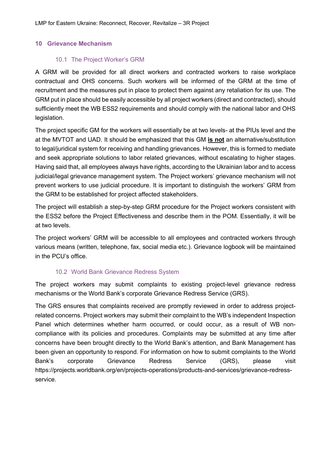#### **10 Grievance Mechanism**

#### 10.1 The Project Worker's GRM

A GRM will be provided for all direct workers and contracted workers to raise workplace contractual and OHS concerns. Such workers will be informed of the GRM at the time of recruitment and the measures put in place to protect them against any retaliation for its use. The GRM put in place should be easily accessible by all project workers (direct and contracted), should sufficiently meet the WB ESS2 requirements and should comply with the national labor and OHS legislation.

The project specific GM for the workers will essentially be at two levels- at the PIUs level and the at the MVTOT and UAD. It should be emphasized that this GM **is not** an alternative/substitution to legal/juridical system for receiving and handling grievances. However, this is formed to mediate and seek appropriate solutions to labor related grievances, without escalating to higher stages. Having said that, all employees always have rights, according to the Ukrainian labor and to access judicial/legal grievance management system. The Project workers' grievance mechanism will not prevent workers to use judicial procedure. It is important to distinguish the workers' GRM from the GRM to be established for project affected stakeholders.

The project will establish a step-by-step GRM procedure for the Project workers consistent with the ESS2 before the Project Effectiveness and describe them in the POM. Essentially, it will be at two levels.

The project workers' GRM will be accessible to all employees and contracted workers through various means (written, telephone, fax, social media etc.). Grievance logbook will be maintained in the PCU's office.

#### 10.2 World Bank Grievance Redress System

The project workers may submit complaints to existing project-level grievance redress mechanisms or the World Bank's corporate Grievance Redress Service (GRS).

The GRS ensures that complaints received are promptly reviewed in order to address projectrelated concerns. Project workers may submit their complaint to the WB's independent Inspection Panel which determines whether harm occurred, or could occur, as a result of WB noncompliance with its policies and procedures. Complaints may be submitted at any time after concerns have been brought directly to the World Bank's attention, and Bank Management has been given an opportunity to respond. For information on how to submit complaints to the World Bank's corporate Grievance Redress Service (GRS), please visit https://projects.worldbank.org/en/projects-operations/products-and-services/grievance-redressservice.